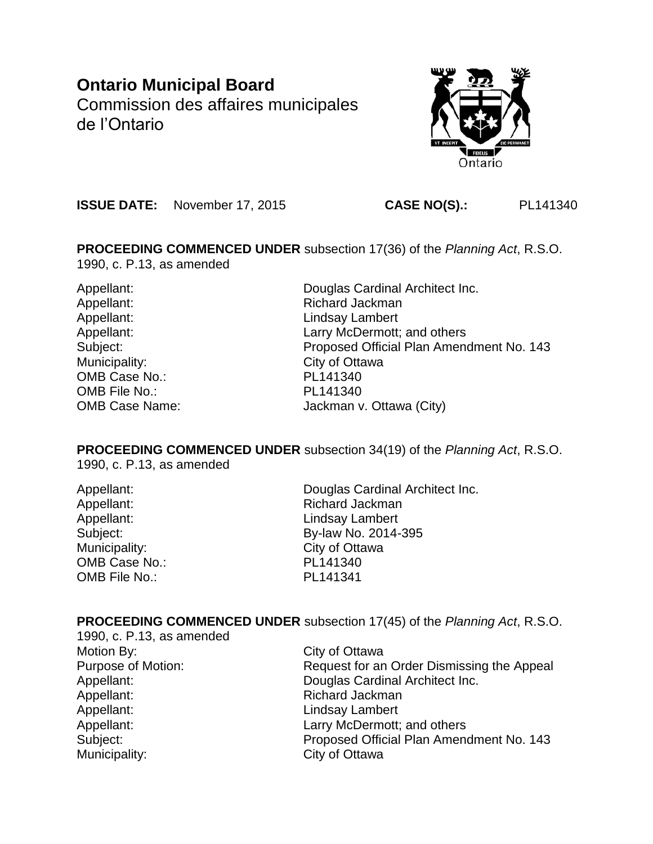# **Ontario Municipal Board**

Commission des affaires municipales de l'Ontario



**ISSUE DATE:** November 17, 2015 **CASE NO(S).:** PL141340

**PROCEEDING COMMENCED UNDER** subsection 17(36) of the *Planning Act*, R.S.O. 1990, c. P.13, as amended

Municipality: City of Ottawa OMB Case No.: PL141340 OMB File No.: PL141340

Appellant: Douglas Cardinal Architect Inc. Appellant: Richard Jackman Appellant: Lindsay Lambert Appellant: Larry McDermott; and others Subject: Proposed Official Plan Amendment No. 143 OMB Case Name: Jackman v. Ottawa (City)

**PROCEEDING COMMENCED UNDER** subsection 34(19) of the *Planning Act*, R.S.O. 1990, c. P.13, as amended

Municipality: City of Ottawa OMB Case No.: PL141340 OMB File No.: PL141341

Appellant: Douglas Cardinal Architect Inc. Appellant: Richard Jackman Appellant: Lindsay Lambert Subject: By-law No. 2014-395

# **PROCEEDING COMMENCED UNDER** subsection 17(45) of the *Planning Act*, R.S.O.

1990, c. P.13, as amended Motion By: City of Ottawa Appellant: Richard Jackman Appellant: Lindsay Lambert Municipality: City of Ottawa

Purpose of Motion: Request for an Order Dismissing the Appeal Appellant: Douglas Cardinal Architect Inc. Appellant: Larry McDermott; and others Subject: Proposed Official Plan Amendment No. 143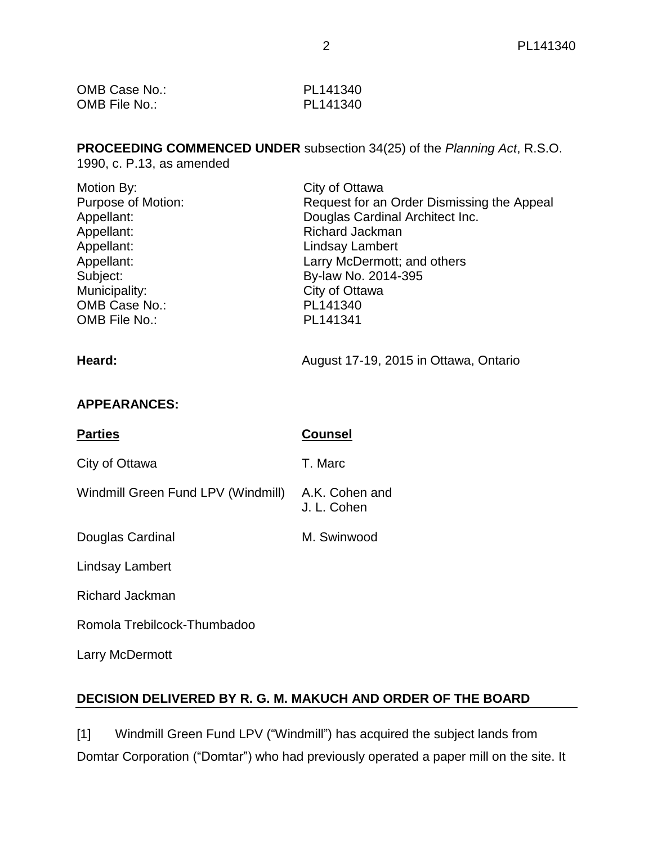| OMB Case No.: | PL141340 |
|---------------|----------|
| OMB File No.: | PL141340 |

# **PROCEEDING COMMENCED UNDER** subsection 34(25) of the *Planning Act*, R.S.O.

1990, c. P.13, as amended

| Motion By:         | City of Ottawa                             |
|--------------------|--------------------------------------------|
| Purpose of Motion: | Request for an Order Dismissing the Appeal |
| Appellant:         | Douglas Cardinal Architect Inc.            |
| Appellant:         | <b>Richard Jackman</b>                     |
| Appellant:         | Lindsay Lambert                            |
| Appellant:         | Larry McDermott; and others                |
| Subject:           | By-law No. 2014-395                        |
| Municipality:      | City of Ottawa                             |
| OMB Case No.:      | PL141340                                   |
| OMB File No.:      | PL141341                                   |
|                    |                                            |

# Heard: **Heard: August 17-19, 2015 in Ottawa, Ontario**

# **APPEARANCES:**

| <b>Parties</b>                     | <b>Counsel</b>                |
|------------------------------------|-------------------------------|
| City of Ottawa                     | T. Marc                       |
| Windmill Green Fund LPV (Windmill) | A.K. Cohen and<br>J. L. Cohen |
| Douglas Cardinal                   | M. Swinwood                   |
| Lindsay Lambert                    |                               |
| <b>Richard Jackman</b>             |                               |
| Romola Trebilcock-Thumbadoo        |                               |
| Larry McDermott                    |                               |

# **DECISION DELIVERED BY R. G. M. MAKUCH AND ORDER OF THE BOARD**

[1] Windmill Green Fund LPV ("Windmill") has acquired the subject lands from Domtar Corporation ("Domtar") who had previously operated a paper mill on the site. It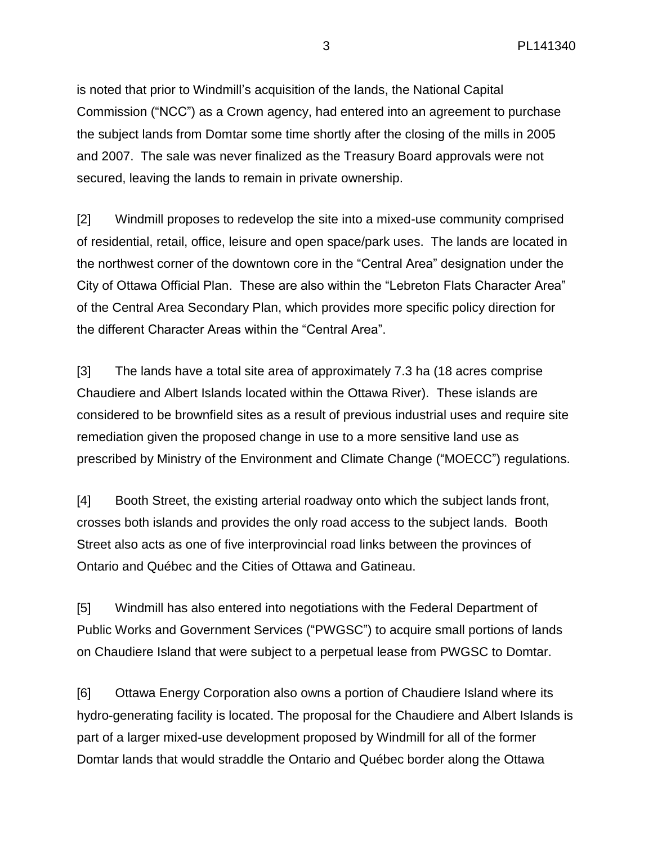is noted that prior to Windmill's acquisition of the lands, the National Capital Commission ("NCC") as a Crown agency, had entered into an agreement to purchase the subject lands from Domtar some time shortly after the closing of the mills in 2005 and 2007. The sale was never finalized as the Treasury Board approvals were not secured, leaving the lands to remain in private ownership.

[2] Windmill proposes to redevelop the site into a mixed-use community comprised of residential, retail, office, leisure and open space/park uses. The lands are located in the northwest corner of the downtown core in the "Central Area" designation under the City of Ottawa Official Plan. These are also within the "Lebreton Flats Character Area" of the Central Area Secondary Plan, which provides more specific policy direction for the different Character Areas within the "Central Area".

[3] The lands have a total site area of approximately 7.3 ha (18 acres comprise Chaudiere and Albert Islands located within the Ottawa River). These islands are considered to be brownfield sites as a result of previous industrial uses and require site remediation given the proposed change in use to a more sensitive land use as prescribed by Ministry of the Environment and Climate Change ("MOECC") regulations.

[4] Booth Street, the existing arterial roadway onto which the subject lands front, crosses both islands and provides the only road access to the subject lands. Booth Street also acts as one of five interprovincial road links between the provinces of Ontario and Québec and the Cities of Ottawa and Gatineau.

[5] Windmill has also entered into negotiations with the Federal Department of Public Works and Government Services ("PWGSC") to acquire small portions of lands on Chaudiere Island that were subject to a perpetual lease from PWGSC to Domtar.

[6] Ottawa Energy Corporation also owns a portion of Chaudiere Island where its hydro-generating facility is located. The proposal for the Chaudiere and Albert Islands is part of a larger mixed-use development proposed by Windmill for all of the former Domtar lands that would straddle the Ontario and Québec border along the Ottawa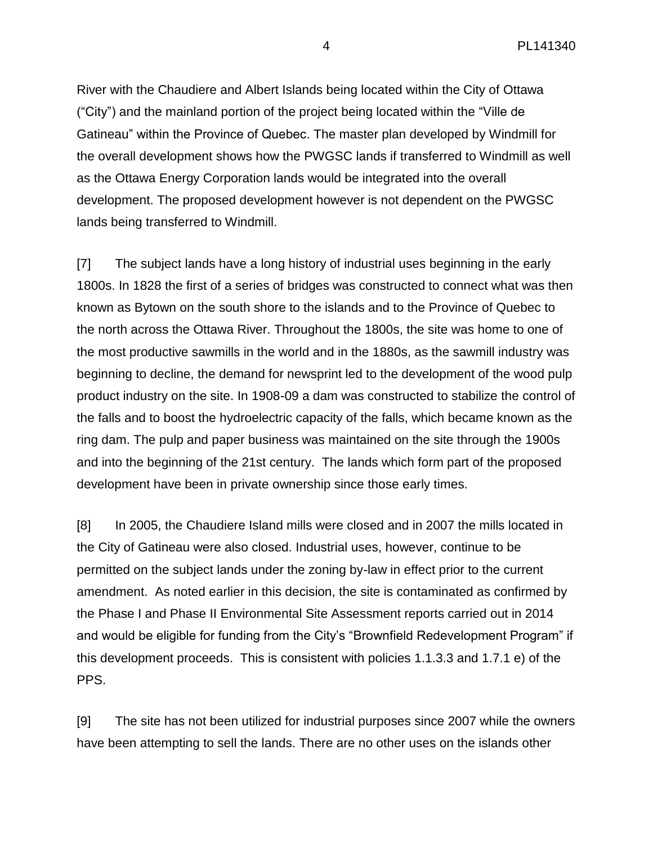River with the Chaudiere and Albert Islands being located within the City of Ottawa ("City") and the mainland portion of the project being located within the "Ville de Gatineau" within the Province of Quebec. The master plan developed by Windmill for the overall development shows how the PWGSC lands if transferred to Windmill as well as the Ottawa Energy Corporation lands would be integrated into the overall development. The proposed development however is not dependent on the PWGSC lands being transferred to Windmill.

[7] The subject lands have a long history of industrial uses beginning in the early 1800s. In 1828 the first of a series of bridges was constructed to connect what was then known as Bytown on the south shore to the islands and to the Province of Quebec to the north across the Ottawa River. Throughout the 1800s, the site was home to one of the most productive sawmills in the world and in the 1880s, as the sawmill industry was beginning to decline, the demand for newsprint led to the development of the wood pulp product industry on the site. In 1908-09 a dam was constructed to stabilize the control of the falls and to boost the hydroelectric capacity of the falls, which became known as the ring dam. The pulp and paper business was maintained on the site through the 1900s and into the beginning of the 21st century. The lands which form part of the proposed development have been in private ownership since those early times.

[8] In 2005, the Chaudiere Island mills were closed and in 2007 the mills located in the City of Gatineau were also closed. Industrial uses, however, continue to be permitted on the subject lands under the zoning by-law in effect prior to the current amendment. As noted earlier in this decision, the site is contaminated as confirmed by the Phase I and Phase II Environmental Site Assessment reports carried out in 2014 and would be eligible for funding from the City's "Brownfield Redevelopment Program" if this development proceeds. This is consistent with policies 1.1.3.3 and 1.7.1 e) of the PPS.

[9] The site has not been utilized for industrial purposes since 2007 while the owners have been attempting to sell the lands. There are no other uses on the islands other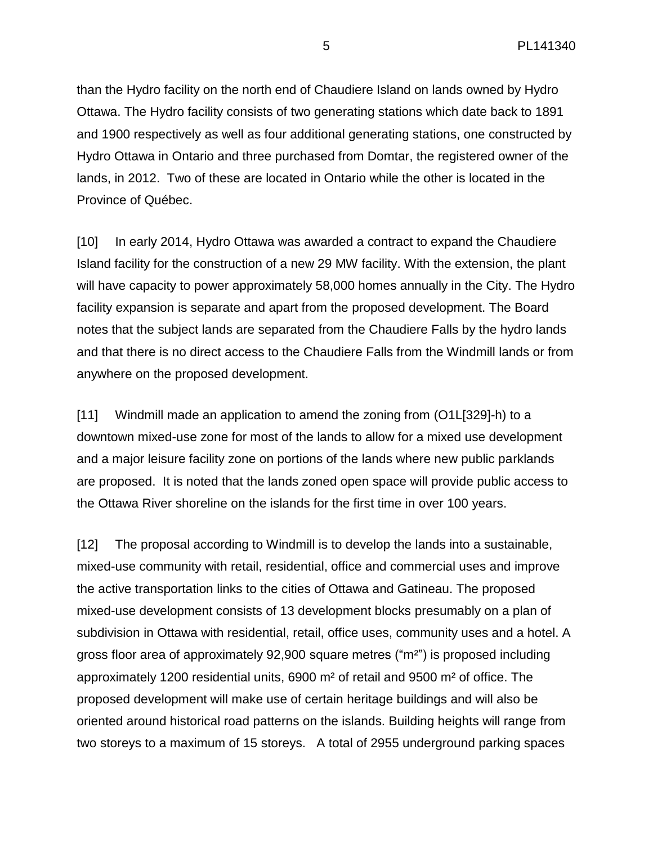than the Hydro facility on the north end of Chaudiere Island on lands owned by Hydro Ottawa. The Hydro facility consists of two generating stations which date back to 1891 and 1900 respectively as well as four additional generating stations, one constructed by Hydro Ottawa in Ontario and three purchased from Domtar, the registered owner of the lands, in 2012. Two of these are located in Ontario while the other is located in the Province of Québec.

[10] In early 2014, Hydro Ottawa was awarded a contract to expand the Chaudiere Island facility for the construction of a new 29 MW facility. With the extension, the plant will have capacity to power approximately 58,000 homes annually in the City. The Hydro facility expansion is separate and apart from the proposed development. The Board notes that the subject lands are separated from the Chaudiere Falls by the hydro lands and that there is no direct access to the Chaudiere Falls from the Windmill lands or from anywhere on the proposed development.

[11] Windmill made an application to amend the zoning from (O1L[329]-h) to a downtown mixed-use zone for most of the lands to allow for a mixed use development and a major leisure facility zone on portions of the lands where new public parklands are proposed. It is noted that the lands zoned open space will provide public access to the Ottawa River shoreline on the islands for the first time in over 100 years.

[12] The proposal according to Windmill is to develop the lands into a sustainable, mixed-use community with retail, residential, office and commercial uses and improve the active transportation links to the cities of Ottawa and Gatineau. The proposed mixed-use development consists of 13 development blocks presumably on a plan of subdivision in Ottawa with residential, retail, office uses, community uses and a hotel. A gross floor area of approximately 92,900 square metres ("m<sup>2"</sup>) is proposed including approximately 1200 residential units, 6900 m² of retail and 9500 m² of office. The proposed development will make use of certain heritage buildings and will also be oriented around historical road patterns on the islands. Building heights will range from two storeys to a maximum of 15 storeys. A total of 2955 underground parking spaces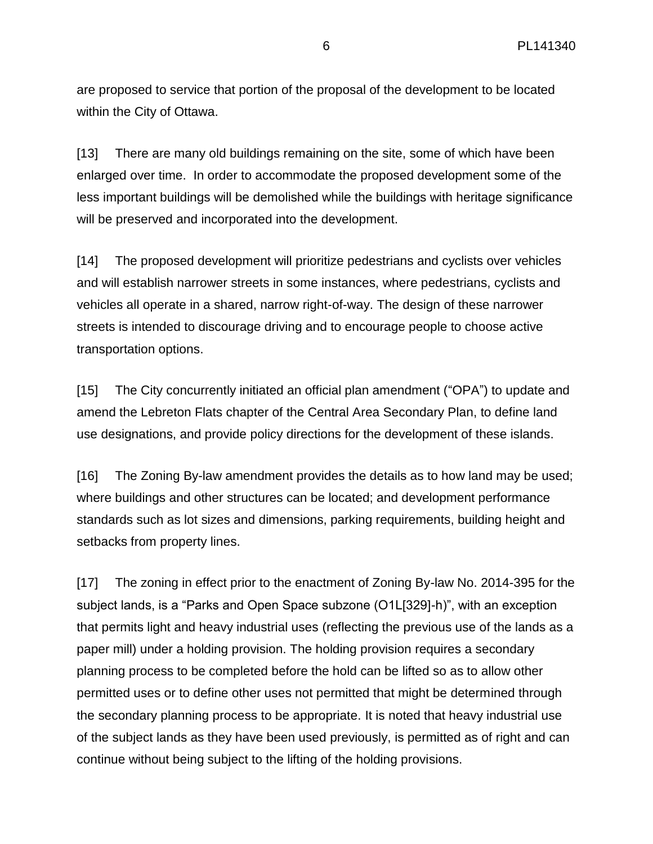are proposed to service that portion of the proposal of the development to be located within the City of Ottawa.

[13] There are many old buildings remaining on the site, some of which have been enlarged over time. In order to accommodate the proposed development some of the less important buildings will be demolished while the buildings with heritage significance will be preserved and incorporated into the development.

[14] The proposed development will prioritize pedestrians and cyclists over vehicles and will establish narrower streets in some instances, where pedestrians, cyclists and vehicles all operate in a shared, narrow right-of-way. The design of these narrower streets is intended to discourage driving and to encourage people to choose active transportation options.

[15] The City concurrently initiated an official plan amendment ("OPA") to update and amend the Lebreton Flats chapter of the Central Area Secondary Plan, to define land use designations, and provide policy directions for the development of these islands.

[16] The Zoning By-law amendment provides the details as to how land may be used; where buildings and other structures can be located; and development performance standards such as lot sizes and dimensions, parking requirements, building height and setbacks from property lines.

[17] The zoning in effect prior to the enactment of Zoning By-law No. 2014-395 for the subject lands, is a "Parks and Open Space subzone (O1L[329]-h)", with an exception that permits light and heavy industrial uses (reflecting the previous use of the lands as a paper mill) under a holding provision. The holding provision requires a secondary planning process to be completed before the hold can be lifted so as to allow other permitted uses or to define other uses not permitted that might be determined through the secondary planning process to be appropriate. It is noted that heavy industrial use of the subject lands as they have been used previously, is permitted as of right and can continue without being subject to the lifting of the holding provisions.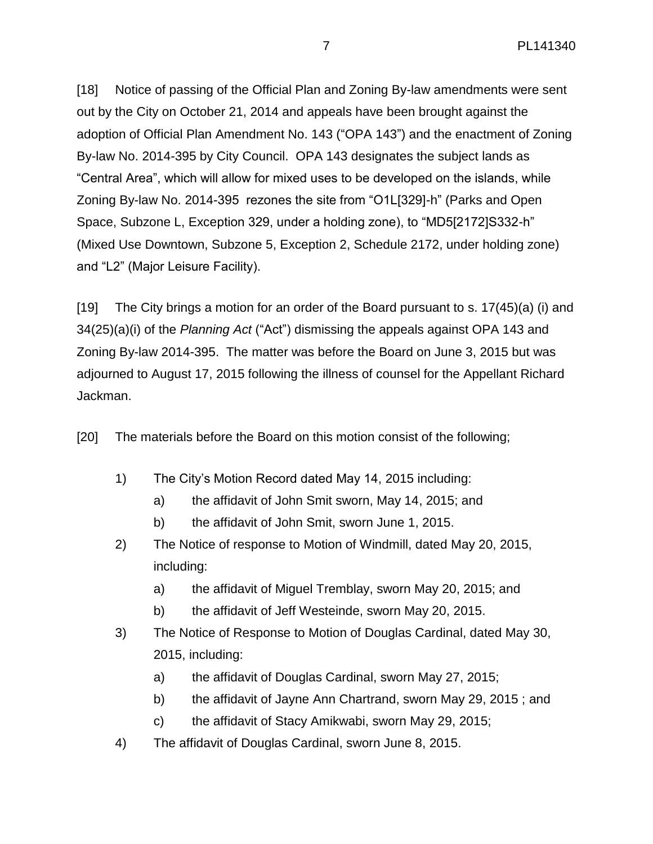[18] Notice of passing of the Official Plan and Zoning By-law amendments were sent out by the City on October 21, 2014 and appeals have been brought against the adoption of Official Plan Amendment No. 143 ("OPA 143") and the enactment of Zoning By-law No. 2014-395 by City Council. OPA 143 designates the subject lands as "Central Area", which will allow for mixed uses to be developed on the islands, while Zoning By-law No. 2014-395 rezones the site from "O1L[329]-h" (Parks and Open Space, Subzone L, Exception 329, under a holding zone), to "MD5[2172]S332-h" (Mixed Use Downtown, Subzone 5, Exception 2, Schedule 2172, under holding zone) and "L2" (Major Leisure Facility).

[19] The City brings a motion for an order of the Board pursuant to s. 17(45)(a) (i) and 34(25)(a)(i) of the *Planning Act* ("Act") dismissing the appeals against OPA 143 and Zoning By-law 2014-395. The matter was before the Board on June 3, 2015 but was adjourned to August 17, 2015 following the illness of counsel for the Appellant Richard Jackman.

[20] The materials before the Board on this motion consist of the following;

- 1) The City's Motion Record dated May 14, 2015 including:
	- a) the affidavit of John Smit sworn, May 14, 2015; and
	- b) the affidavit of John Smit, sworn June 1, 2015.
- 2) The Notice of response to Motion of Windmill, dated May 20, 2015, including:
	- a) the affidavit of Miguel Tremblay, sworn May 20, 2015; and
	- b) the affidavit of Jeff Westeinde, sworn May 20, 2015.
- 3) The Notice of Response to Motion of Douglas Cardinal, dated May 30, 2015, including:
	- a) the affidavit of Douglas Cardinal, sworn May 27, 2015;
	- b) the affidavit of Jayne Ann Chartrand, sworn May 29, 2015 ; and
	- c) the affidavit of Stacy Amikwabi, sworn May 29, 2015;
- 4) The affidavit of Douglas Cardinal, sworn June 8, 2015.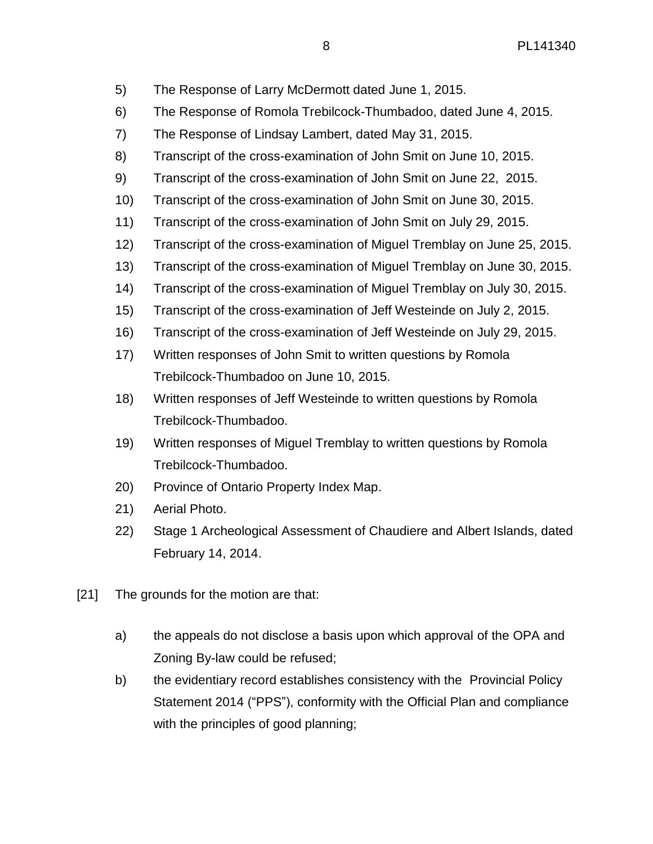- 5) The Response of Larry McDermott dated June 1, 2015.
- 6) The Response of Romola Trebilcock-Thumbadoo, dated June 4, 2015.
- 7) The Response of Lindsay Lambert, dated May 31, 2015.
- 8) Transcript of the cross-examination of John Smit on June 10, 2015.
- 9) Transcript of the cross-examination of John Smit on June 22, 2015.
- 10) Transcript of the cross-examination of John Smit on June 30, 2015.
- 11) Transcript of the cross-examination of John Smit on July 29, 2015.
- 12) Transcript of the cross-examination of Miguel Tremblay on June 25, 2015.
- 13) Transcript of the cross-examination of Miguel Tremblay on June 30, 2015.
- 14) Transcript of the cross-examination of Miguel Tremblay on July 30, 2015.
- 15) Transcript of the cross-examination of Jeff Westeinde on July 2, 2015.
- 16) Transcript of the cross-examination of Jeff Westeinde on July 29, 2015.
- 17) Written responses of John Smit to written questions by Romola Trebilcock-Thumbadoo on June 10, 2015.
- 18) Written responses of Jeff Westeinde to written questions by Romola Trebilcock-Thumbadoo.
- 19) Written responses of Miguel Tremblay to written questions by Romola Trebilcock-Thumbadoo.
- 20) Province of Ontario Property Index Map.
- 21) Aerial Photo.
- 22) Stage 1 Archeological Assessment of Chaudiere and Albert Islands, dated February 14, 2014.
- [21] The grounds for the motion are that:
	- a) the appeals do not disclose a basis upon which approval of the OPA and Zoning By-law could be refused;
	- b) the evidentiary record establishes consistency with the Provincial Policy Statement 2014 ("PPS"), conformity with the Official Plan and compliance with the principles of good planning;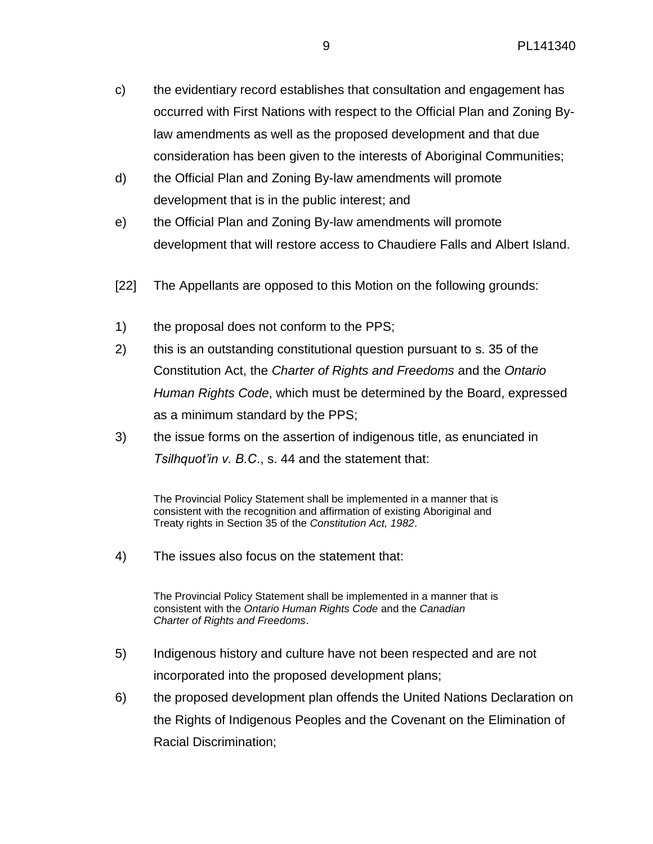- c) the evidentiary record establishes that consultation and engagement has occurred with First Nations with respect to the Official Plan and Zoning Bylaw amendments as well as the proposed development and that due consideration has been given to the interests of Aboriginal Communities;
- d) the Official Plan and Zoning By-law amendments will promote development that is in the public interest; and
- e) the Official Plan and Zoning By-law amendments will promote development that will restore access to Chaudiere Falls and Albert Island.
- [22] The Appellants are opposed to this Motion on the following grounds:
- 1) the proposal does not conform to the PPS;
- 2) this is an outstanding constitutional question pursuant to s. 35 of the Constitution Act, the *Charter of Rights and Freedoms* and the *Ontario Human Rights Code*, which must be determined by the Board, expressed as a minimum standard by the PPS;
- 3) the issue forms on the assertion of indigenous title, as enunciated in *Tsilhquot'in v. B.C*., s. 44 and the statement that:

The Provincial Policy Statement shall be implemented in a manner that is consistent with the recognition and affirmation of existing Aboriginal and Treaty rights in Section 35 of the *Constitution Act, 1982*.

4) The issues also focus on the statement that:

The Provincial Policy Statement shall be implemented in a manner that is consistent with the *Ontario Human Rights Code* and the *Canadian Charter of Rights and Freedoms*.

- 5) Indigenous history and culture have not been respected and are not incorporated into the proposed development plans;
- 6) the proposed development plan offends the United Nations Declaration on the Rights of Indigenous Peoples and the Covenant on the Elimination of Racial Discrimination;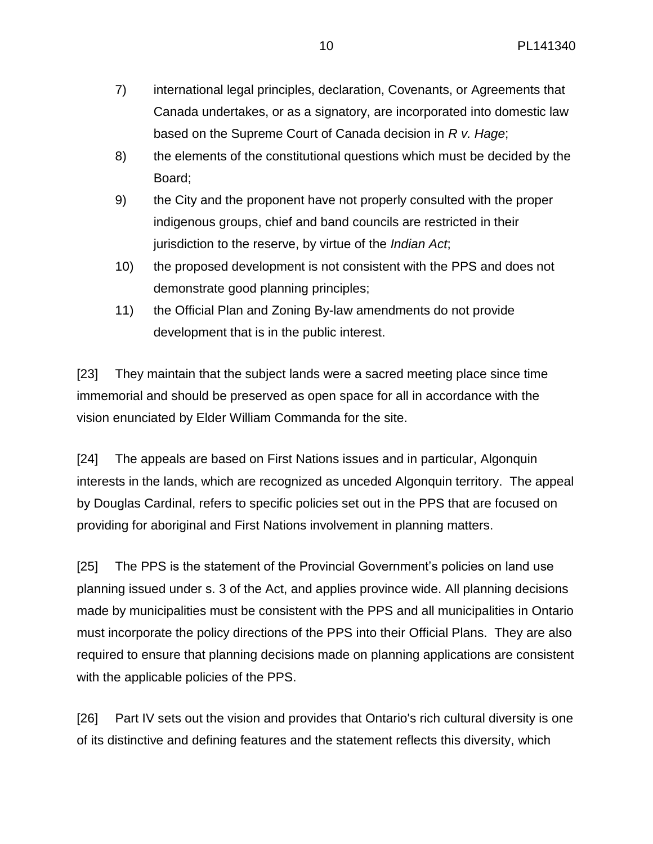- 7) international legal principles, declaration, Covenants, or Agreements that Canada undertakes, or as a signatory, are incorporated into domestic law based on the Supreme Court of Canada decision in *R v. Hage*;
- 8) the elements of the constitutional questions which must be decided by the Board;
- 9) the City and the proponent have not properly consulted with the proper indigenous groups, chief and band councils are restricted in their jurisdiction to the reserve, by virtue of the *Indian Act*;
- 10) the proposed development is not consistent with the PPS and does not demonstrate good planning principles;
- 11) the Official Plan and Zoning By-law amendments do not provide development that is in the public interest.

[23] They maintain that the subject lands were a sacred meeting place since time immemorial and should be preserved as open space for all in accordance with the vision enunciated by Elder William Commanda for the site.

[24] The appeals are based on First Nations issues and in particular, Algonquin interests in the lands, which are recognized as unceded Algonquin territory. The appeal by Douglas Cardinal, refers to specific policies set out in the PPS that are focused on providing for aboriginal and First Nations involvement in planning matters.

[25] The PPS is the statement of the Provincial Government's policies on land use planning issued under s. 3 of the Act, and applies province wide. All planning decisions made by municipalities must be consistent with the PPS and all municipalities in Ontario must incorporate the policy directions of the PPS into their Official Plans. They are also required to ensure that planning decisions made on planning applications are consistent with the applicable policies of the PPS.

[26] Part IV sets out the vision and provides that Ontario's rich cultural diversity is one of its distinctive and defining features and the statement reflects this diversity, which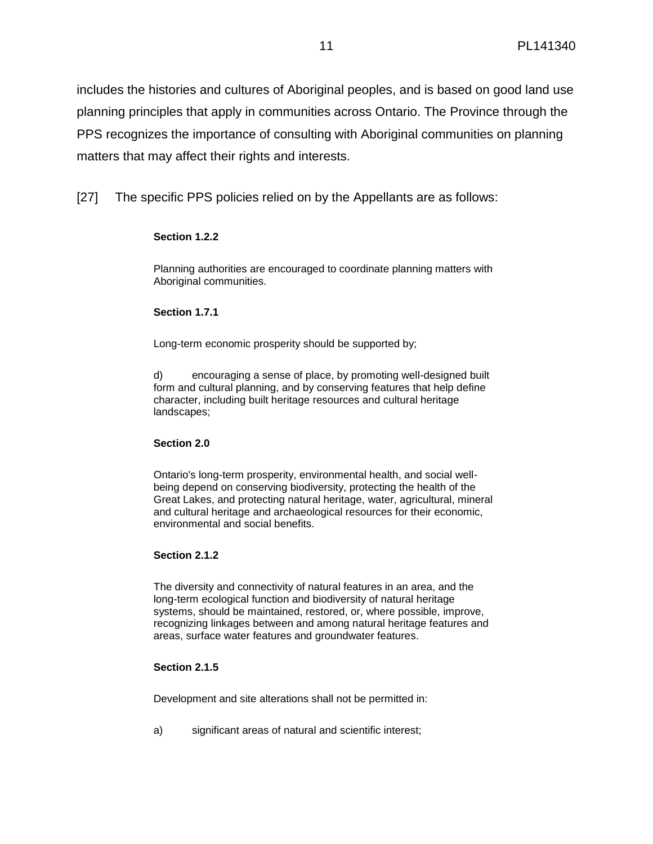includes the histories and cultures of Aboriginal peoples, and is based on good land use planning principles that apply in communities across Ontario. The Province through the PPS recognizes the importance of consulting with Aboriginal communities on planning matters that may affect their rights and interests.

[27] The specific PPS policies relied on by the Appellants are as follows:

# **Section 1.2.2**

Planning authorities are encouraged to coordinate planning matters with Aboriginal communities.

# **Section 1.7.1**

Long-term economic prosperity should be supported by;

d) encouraging a sense of place, by promoting well-designed built form and cultural planning, and by conserving features that help define character, including built heritage resources and cultural heritage landscapes;

### **Section 2.0**

Ontario's long-term prosperity, environmental health, and social wellbeing depend on conserving biodiversity, protecting the health of the Great Lakes, and protecting natural heritage, water, agricultural, mineral and cultural heritage and archaeological resources for their economic, environmental and social benefits.

### **Section 2.1.2**

The diversity and connectivity of natural features in an area, and the long-term ecological function and biodiversity of natural heritage systems, should be maintained, restored, or, where possible, improve, recognizing linkages between and among natural heritage features and areas, surface water features and groundwater features.

### **Section 2.1.5**

Development and site alterations shall not be permitted in:

a) significant areas of natural and scientific interest;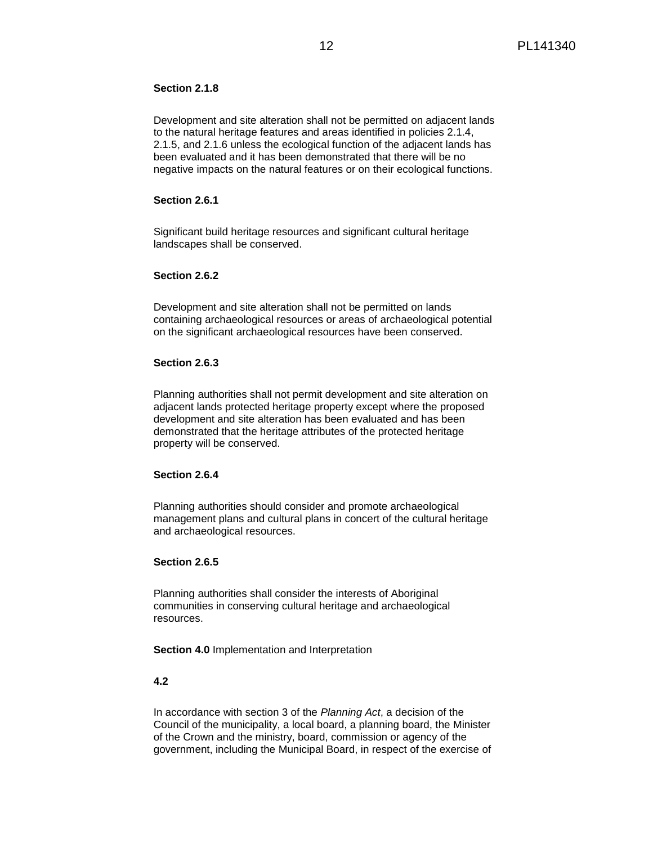### **Section 2.1.8**

Development and site alteration shall not be permitted on adjacent lands to the natural heritage features and areas identified in policies 2.1.4, 2.1.5, and 2.1.6 unless the ecological function of the adjacent lands has been evaluated and it has been demonstrated that there will be no negative impacts on the natural features or on their ecological functions.

#### **Section 2.6.1**

Significant build heritage resources and significant cultural heritage landscapes shall be conserved.

#### **Section 2.6.2**

Development and site alteration shall not be permitted on lands containing archaeological resources or areas of archaeological potential on the significant archaeological resources have been conserved.

#### **Section 2.6.3**

Planning authorities shall not permit development and site alteration on adjacent lands protected heritage property except where the proposed development and site alteration has been evaluated and has been demonstrated that the heritage attributes of the protected heritage property will be conserved.

### **Section 2.6.4**

Planning authorities should consider and promote archaeological management plans and cultural plans in concert of the cultural heritage and archaeological resources.

### **Section 2.6.5**

Planning authorities shall consider the interests of Aboriginal communities in conserving cultural heritage and archaeological resources.

**Section 4.0** Implementation and Interpretation

### **4.2**

In accordance with section 3 of the *Planning Act*, a decision of the Council of the municipality, a local board, a planning board, the Minister of the Crown and the ministry, board, commission or agency of the government, including the Municipal Board, in respect of the exercise of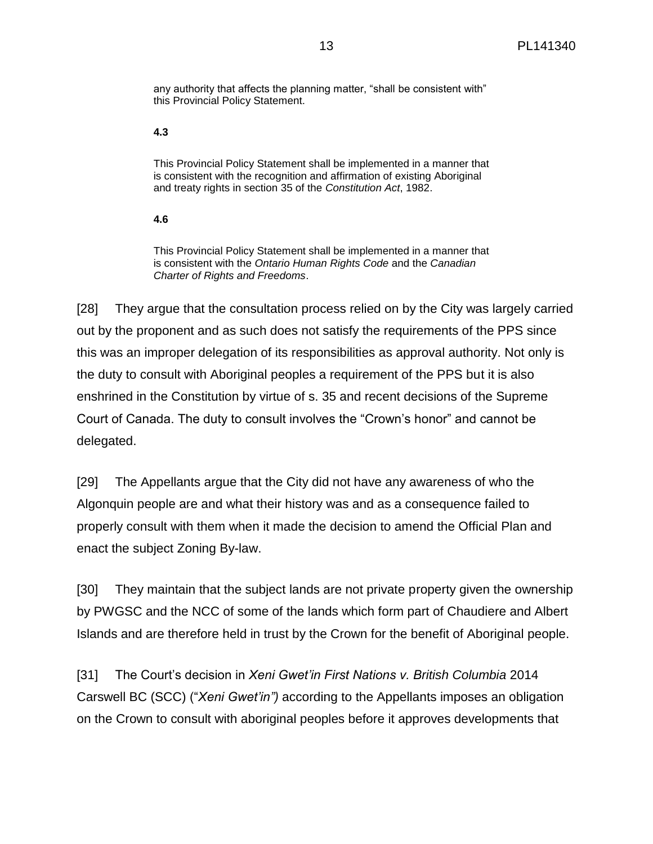any authority that affects the planning matter, "shall be consistent with" this Provincial Policy Statement.

#### **4.3**

This Provincial Policy Statement shall be implemented in a manner that is consistent with the recognition and affirmation of existing Aboriginal and treaty rights in section 35 of the *Constitution Act*, 1982.

#### **4.6**

This Provincial Policy Statement shall be implemented in a manner that is consistent with the *Ontario Human Rights Code* and the *Canadian Charter of Rights and Freedoms*.

[28] They argue that the consultation process relied on by the City was largely carried out by the proponent and as such does not satisfy the requirements of the PPS since this was an improper delegation of its responsibilities as approval authority. Not only is the duty to consult with Aboriginal peoples a requirement of the PPS but it is also enshrined in the Constitution by virtue of s. 35 and recent decisions of the Supreme Court of Canada. The duty to consult involves the "Crown's honor" and cannot be delegated.

[29] The Appellants argue that the City did not have any awareness of who the Algonquin people are and what their history was and as a consequence failed to properly consult with them when it made the decision to amend the Official Plan and enact the subject Zoning By-law.

[30] They maintain that the subject lands are not private property given the ownership by PWGSC and the NCC of some of the lands which form part of Chaudiere and Albert Islands and are therefore held in trust by the Crown for the benefit of Aboriginal people.

[31] The Court's decision in *Xeni Gwet'in First Nations v. British Columbia* 2014 Carswell BC (SCC) ("*Xeni Gwet'in")* according to the Appellants imposes an obligation on the Crown to consult with aboriginal peoples before it approves developments that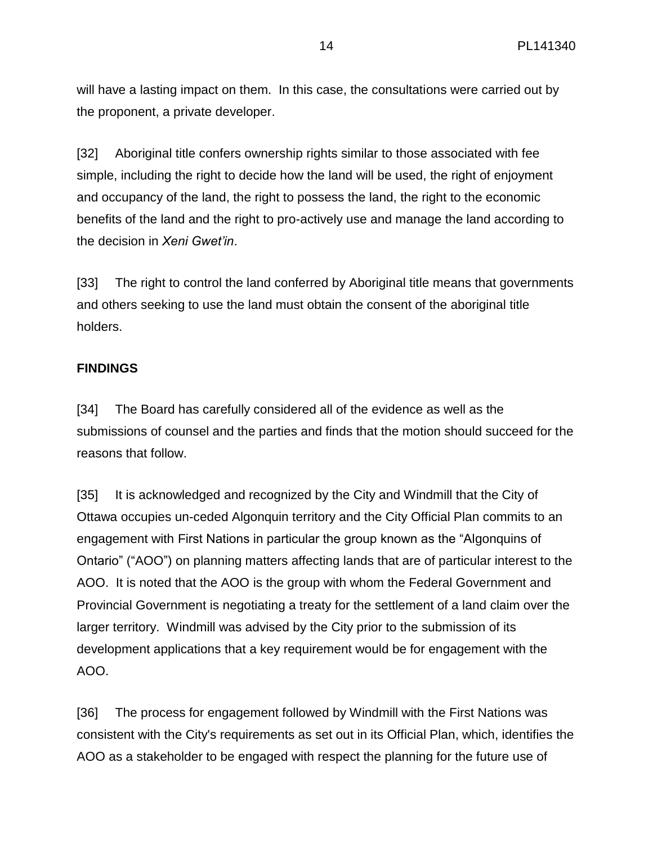will have a lasting impact on them. In this case, the consultations were carried out by the proponent, a private developer.

[32] Aboriginal title confers ownership rights similar to those associated with fee simple, including the right to decide how the land will be used, the right of enjoyment and occupancy of the land, the right to possess the land, the right to the economic benefits of the land and the right to pro-actively use and manage the land according to the decision in *Xeni Gwet'in*.

[33] The right to control the land conferred by Aboriginal title means that governments and others seeking to use the land must obtain the consent of the aboriginal title holders.

# **FINDINGS**

[34] The Board has carefully considered all of the evidence as well as the submissions of counsel and the parties and finds that the motion should succeed for the reasons that follow.

[35] It is acknowledged and recognized by the City and Windmill that the City of Ottawa occupies un-ceded Algonquin territory and the City Official Plan commits to an engagement with First Nations in particular the group known as the "Algonquins of Ontario" ("AOO") on planning matters affecting lands that are of particular interest to the AOO. It is noted that the AOO is the group with whom the Federal Government and Provincial Government is negotiating a treaty for the settlement of a land claim over the larger territory. Windmill was advised by the City prior to the submission of its development applications that a key requirement would be for engagement with the AOO.

[36] The process for engagement followed by Windmill with the First Nations was consistent with the City's requirements as set out in its Official Plan, which, identifies the AOO as a stakeholder to be engaged with respect the planning for the future use of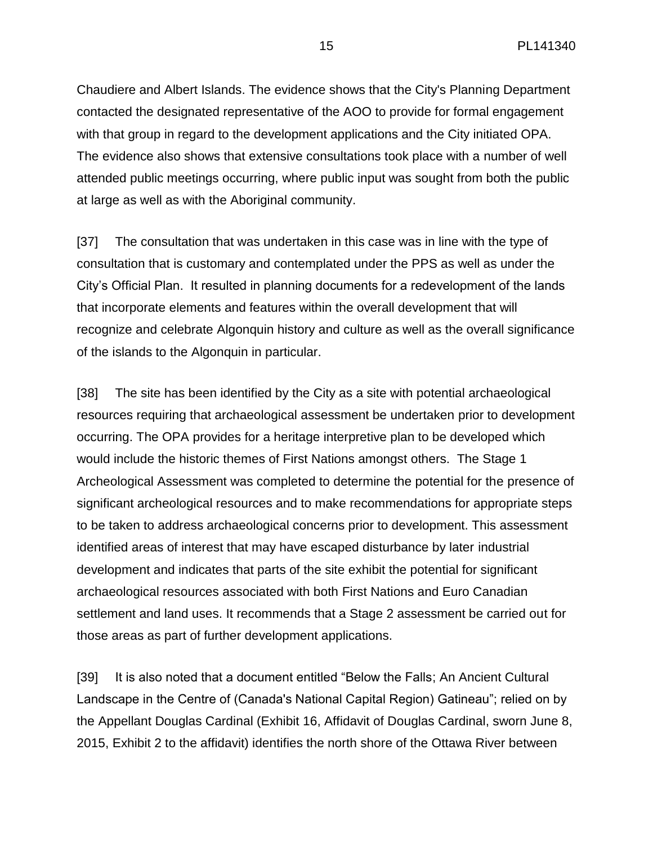Chaudiere and Albert Islands. The evidence shows that the City's Planning Department contacted the designated representative of the AOO to provide for formal engagement with that group in regard to the development applications and the City initiated OPA. The evidence also shows that extensive consultations took place with a number of well attended public meetings occurring, where public input was sought from both the public at large as well as with the Aboriginal community.

[37] The consultation that was undertaken in this case was in line with the type of consultation that is customary and contemplated under the PPS as well as under the City's Official Plan. It resulted in planning documents for a redevelopment of the lands that incorporate elements and features within the overall development that will recognize and celebrate Algonquin history and culture as well as the overall significance of the islands to the Algonquin in particular.

[38] The site has been identified by the City as a site with potential archaeological resources requiring that archaeological assessment be undertaken prior to development occurring. The OPA provides for a heritage interpretive plan to be developed which would include the historic themes of First Nations amongst others. The Stage 1 Archeological Assessment was completed to determine the potential for the presence of significant archeological resources and to make recommendations for appropriate steps to be taken to address archaeological concerns prior to development. This assessment identified areas of interest that may have escaped disturbance by later industrial development and indicates that parts of the site exhibit the potential for significant archaeological resources associated with both First Nations and Euro Canadian settlement and land uses. It recommends that a Stage 2 assessment be carried out for those areas as part of further development applications.

[39] It is also noted that a document entitled "Below the Falls; An Ancient Cultural Landscape in the Centre of (Canada's National Capital Region) Gatineau"; relied on by the Appellant Douglas Cardinal (Exhibit 16, Affidavit of Douglas Cardinal, sworn June 8, 2015, Exhibit 2 to the affidavit) identifies the north shore of the Ottawa River between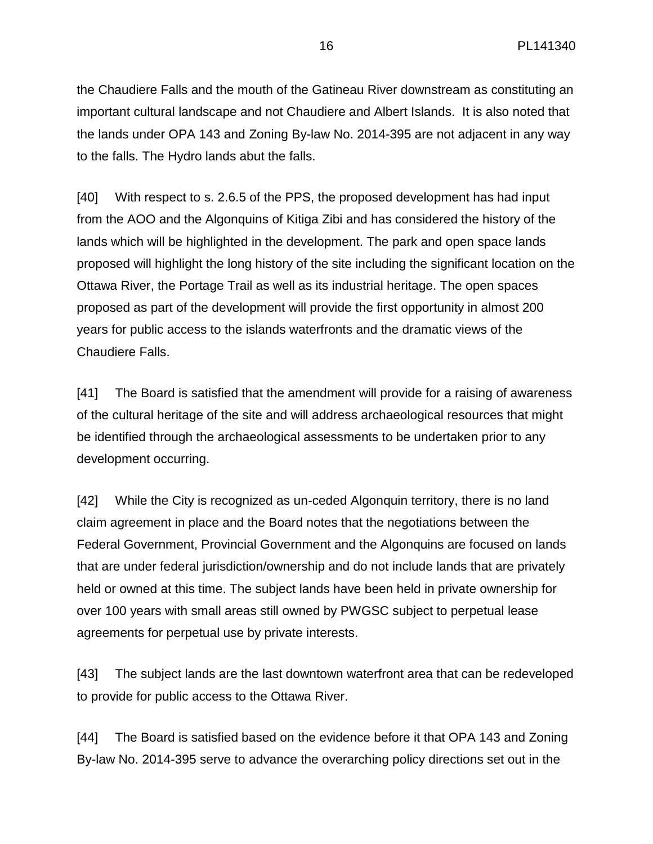the Chaudiere Falls and the mouth of the Gatineau River downstream as constituting an important cultural landscape and not Chaudiere and Albert Islands. It is also noted that the lands under OPA 143 and Zoning By-law No. 2014-395 are not adjacent in any way to the falls. The Hydro lands abut the falls.

[40] With respect to s. 2.6.5 of the PPS, the proposed development has had input from the AOO and the Algonquins of Kitiga Zibi and has considered the history of the lands which will be highlighted in the development. The park and open space lands proposed will highlight the long history of the site including the significant location on the Ottawa River, the Portage Trail as well as its industrial heritage. The open spaces proposed as part of the development will provide the first opportunity in almost 200 years for public access to the islands waterfronts and the dramatic views of the Chaudiere Falls.

[41] The Board is satisfied that the amendment will provide for a raising of awareness of the cultural heritage of the site and will address archaeological resources that might be identified through the archaeological assessments to be undertaken prior to any development occurring.

[42] While the City is recognized as un-ceded Algonquin territory, there is no land claim agreement in place and the Board notes that the negotiations between the Federal Government, Provincial Government and the Algonquins are focused on lands that are under federal jurisdiction/ownership and do not include lands that are privately held or owned at this time. The subject lands have been held in private ownership for over 100 years with small areas still owned by PWGSC subject to perpetual lease agreements for perpetual use by private interests.

[43] The subject lands are the last downtown waterfront area that can be redeveloped to provide for public access to the Ottawa River.

[44] The Board is satisfied based on the evidence before it that OPA 143 and Zoning By-law No. 2014-395 serve to advance the overarching policy directions set out in the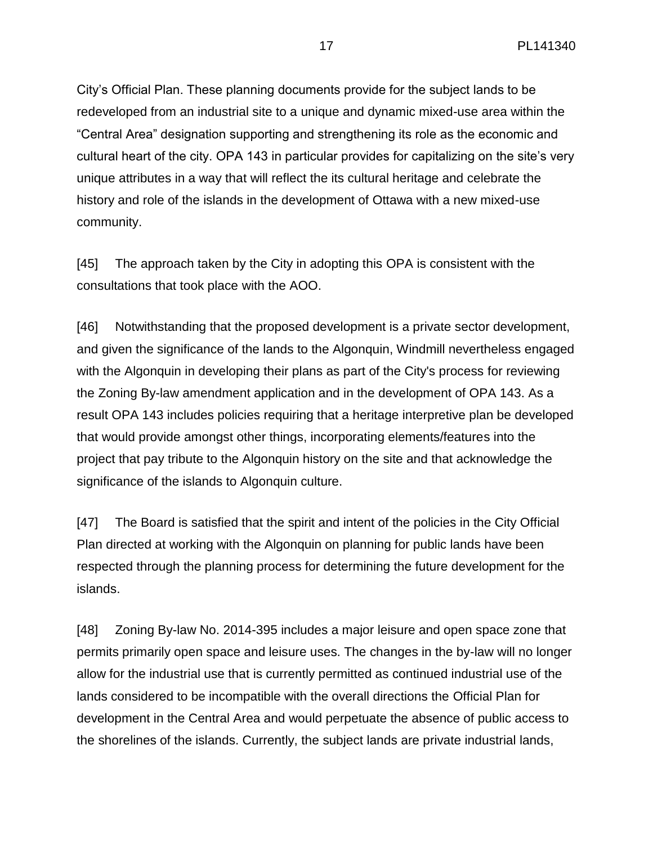City's Official Plan. These planning documents provide for the subject lands to be redeveloped from an industrial site to a unique and dynamic mixed-use area within the "Central Area" designation supporting and strengthening its role as the economic and cultural heart of the city. OPA 143 in particular provides for capitalizing on the site's very unique attributes in a way that will reflect the its cultural heritage and celebrate the history and role of the islands in the development of Ottawa with a new mixed-use community.

[45] The approach taken by the City in adopting this OPA is consistent with the consultations that took place with the AOO.

[46] Notwithstanding that the proposed development is a private sector development, and given the significance of the lands to the Algonquin, Windmill nevertheless engaged with the Algonquin in developing their plans as part of the City's process for reviewing the Zoning By-law amendment application and in the development of OPA 143. As a result OPA 143 includes policies requiring that a heritage interpretive plan be developed that would provide amongst other things, incorporating elements/features into the project that pay tribute to the Algonquin history on the site and that acknowledge the significance of the islands to Algonquin culture.

[47] The Board is satisfied that the spirit and intent of the policies in the City Official Plan directed at working with the Algonquin on planning for public lands have been respected through the planning process for determining the future development for the islands.

[48] Zoning By-law No. 2014-395 includes a major leisure and open space zone that permits primarily open space and leisure uses. The changes in the by-law will no longer allow for the industrial use that is currently permitted as continued industrial use of the lands considered to be incompatible with the overall directions the Official Plan for development in the Central Area and would perpetuate the absence of public access to the shorelines of the islands. Currently, the subject lands are private industrial lands,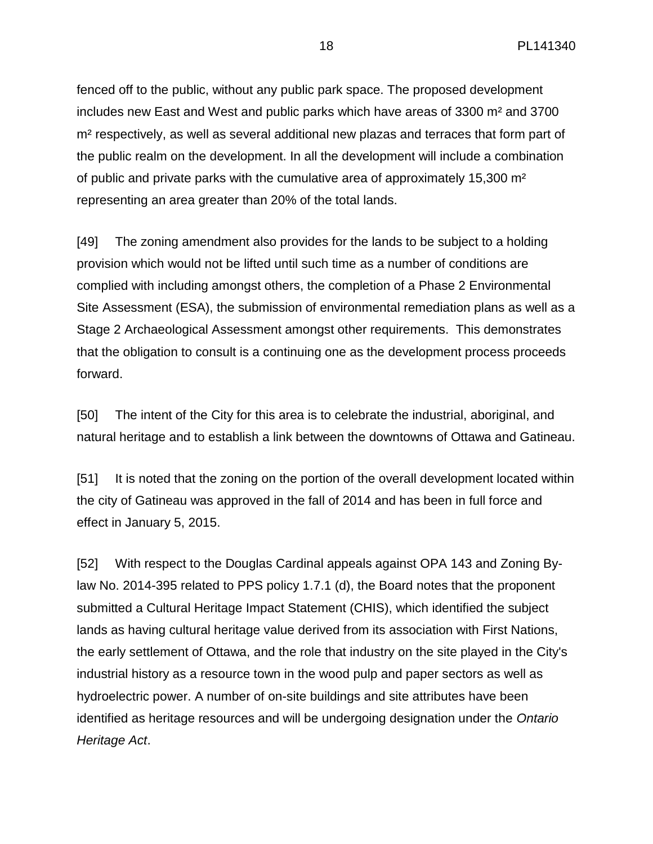fenced off to the public, without any public park space. The proposed development includes new East and West and public parks which have areas of 3300 m² and 3700 m<sup>2</sup> respectively, as well as several additional new plazas and terraces that form part of the public realm on the development. In all the development will include a combination of public and private parks with the cumulative area of approximately 15,300 m² representing an area greater than 20% of the total lands.

[49] The zoning amendment also provides for the lands to be subject to a holding provision which would not be lifted until such time as a number of conditions are complied with including amongst others, the completion of a Phase 2 Environmental Site Assessment (ESA), the submission of environmental remediation plans as well as a Stage 2 Archaeological Assessment amongst other requirements. This demonstrates that the obligation to consult is a continuing one as the development process proceeds forward.

[50] The intent of the City for this area is to celebrate the industrial, aboriginal, and natural heritage and to establish a link between the downtowns of Ottawa and Gatineau.

[51] It is noted that the zoning on the portion of the overall development located within the city of Gatineau was approved in the fall of 2014 and has been in full force and effect in January 5, 2015.

[52] With respect to the Douglas Cardinal appeals against OPA 143 and Zoning Bylaw No. 2014-395 related to PPS policy 1.7.1 (d), the Board notes that the proponent submitted a Cultural Heritage Impact Statement (CHIS), which identified the subject lands as having cultural heritage value derived from its association with First Nations, the early settlement of Ottawa, and the role that industry on the site played in the City's industrial history as a resource town in the wood pulp and paper sectors as well as hydroelectric power. A number of on-site buildings and site attributes have been identified as heritage resources and will be undergoing designation under the *Ontario Heritage Act*.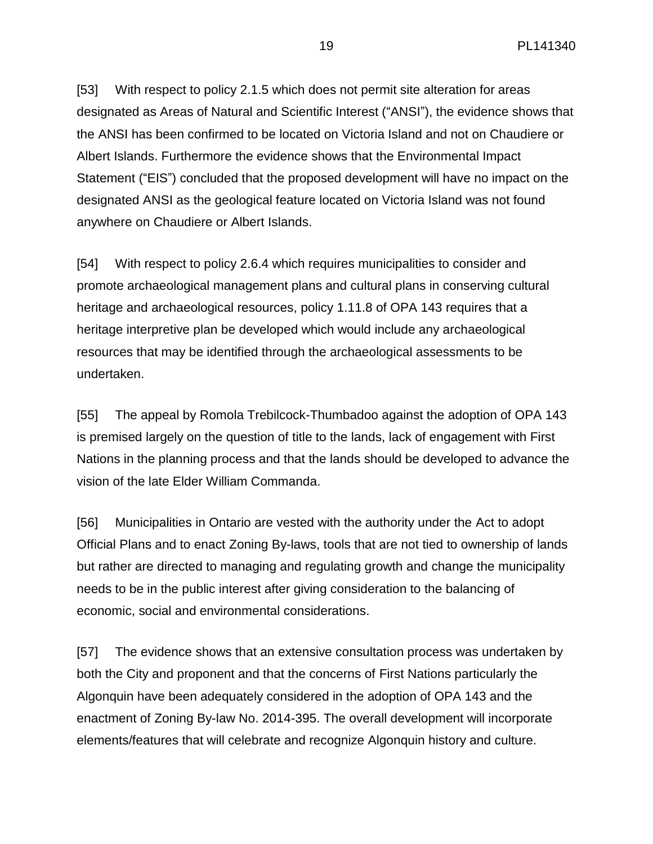[53] With respect to policy 2.1.5 which does not permit site alteration for areas designated as Areas of Natural and Scientific Interest ("ANSI"), the evidence shows that the ANSI has been confirmed to be located on Victoria Island and not on Chaudiere or Albert Islands. Furthermore the evidence shows that the Environmental Impact Statement ("EIS") concluded that the proposed development will have no impact on the designated ANSI as the geological feature located on Victoria Island was not found anywhere on Chaudiere or Albert Islands.

[54] With respect to policy 2.6.4 which requires municipalities to consider and promote archaeological management plans and cultural plans in conserving cultural heritage and archaeological resources, policy 1.11.8 of OPA 143 requires that a heritage interpretive plan be developed which would include any archaeological resources that may be identified through the archaeological assessments to be undertaken.

[55] The appeal by Romola Trebilcock-Thumbadoo against the adoption of OPA 143 is premised largely on the question of title to the lands, lack of engagement with First Nations in the planning process and that the lands should be developed to advance the vision of the late Elder William Commanda.

[56] Municipalities in Ontario are vested with the authority under the Act to adopt Official Plans and to enact Zoning By-laws, tools that are not tied to ownership of lands but rather are directed to managing and regulating growth and change the municipality needs to be in the public interest after giving consideration to the balancing of economic, social and environmental considerations.

[57] The evidence shows that an extensive consultation process was undertaken by both the City and proponent and that the concerns of First Nations particularly the Algonquin have been adequately considered in the adoption of OPA 143 and the enactment of Zoning By-law No. 2014-395. The overall development will incorporate elements/features that will celebrate and recognize Algonquin history and culture.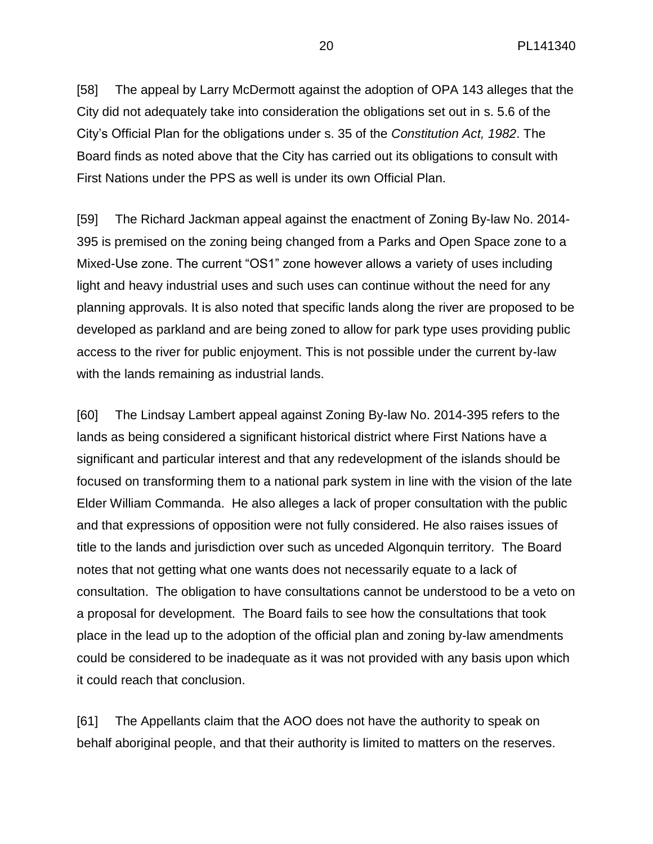[58] The appeal by Larry McDermott against the adoption of OPA 143 alleges that the City did not adequately take into consideration the obligations set out in s. 5.6 of the City's Official Plan for the obligations under s. 35 of the *Constitution Act, 1982*. The Board finds as noted above that the City has carried out its obligations to consult with First Nations under the PPS as well is under its own Official Plan.

[59] The Richard Jackman appeal against the enactment of Zoning By-law No. 2014- 395 is premised on the zoning being changed from a Parks and Open Space zone to a Mixed-Use zone. The current "OS1" zone however allows a variety of uses including light and heavy industrial uses and such uses can continue without the need for any planning approvals. It is also noted that specific lands along the river are proposed to be developed as parkland and are being zoned to allow for park type uses providing public access to the river for public enjoyment. This is not possible under the current by-law with the lands remaining as industrial lands.

[60] The Lindsay Lambert appeal against Zoning By-law No. 2014-395 refers to the lands as being considered a significant historical district where First Nations have a significant and particular interest and that any redevelopment of the islands should be focused on transforming them to a national park system in line with the vision of the late Elder William Commanda. He also alleges a lack of proper consultation with the public and that expressions of opposition were not fully considered. He also raises issues of title to the lands and jurisdiction over such as unceded Algonquin territory. The Board notes that not getting what one wants does not necessarily equate to a lack of consultation. The obligation to have consultations cannot be understood to be a veto on a proposal for development. The Board fails to see how the consultations that took place in the lead up to the adoption of the official plan and zoning by-law amendments could be considered to be inadequate as it was not provided with any basis upon which it could reach that conclusion.

[61] The Appellants claim that the AOO does not have the authority to speak on behalf aboriginal people, and that their authority is limited to matters on the reserves.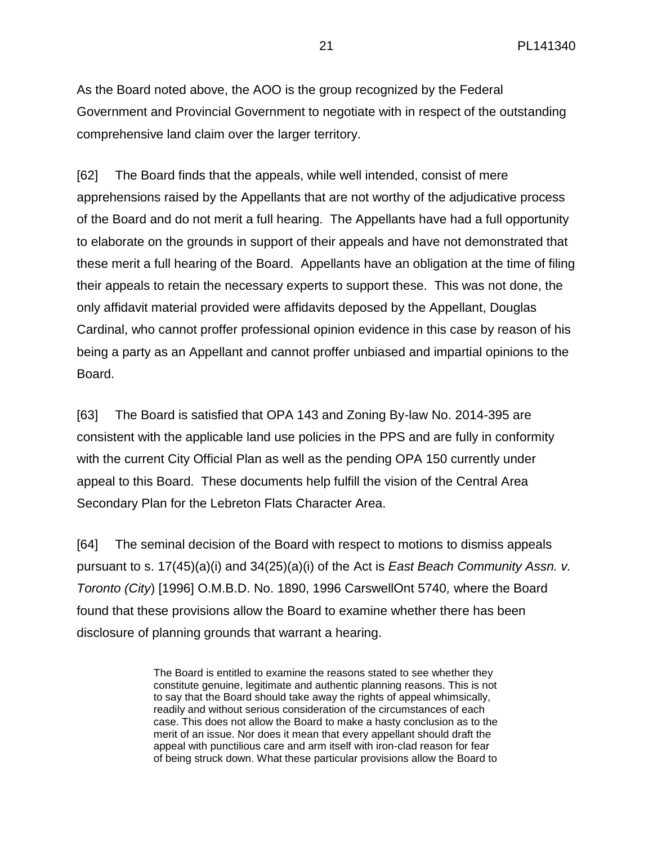As the Board noted above, the AOO is the group recognized by the Federal Government and Provincial Government to negotiate with in respect of the outstanding comprehensive land claim over the larger territory.

[62] The Board finds that the appeals, while well intended, consist of mere apprehensions raised by the Appellants that are not worthy of the adjudicative process of the Board and do not merit a full hearing. The Appellants have had a full opportunity to elaborate on the grounds in support of their appeals and have not demonstrated that these merit a full hearing of the Board. Appellants have an obligation at the time of filing their appeals to retain the necessary experts to support these. This was not done, the only affidavit material provided were affidavits deposed by the Appellant, Douglas Cardinal, who cannot proffer professional opinion evidence in this case by reason of his being a party as an Appellant and cannot proffer unbiased and impartial opinions to the Board.

[63] The Board is satisfied that OPA 143 and Zoning By-law No. 2014-395 are consistent with the applicable land use policies in the PPS and are fully in conformity with the current City Official Plan as well as the pending OPA 150 currently under appeal to this Board. These documents help fulfill the vision of the Central Area Secondary Plan for the Lebreton Flats Character Area.

[64] The seminal decision of the Board with respect to motions to dismiss appeals pursuant to s. 17(45)(a)(i) and 34(25)(a)(i) of the Act is *East Beach Community Assn. v. Toronto (City*) [1996] O.M.B.D. No. 1890, 1996 CarswellOnt 5740*,* where the Board found that these provisions allow the Board to examine whether there has been disclosure of planning grounds that warrant a hearing.

> The Board is entitled to examine the reasons stated to see whether they constitute genuine, legitimate and authentic planning reasons. This is not to say that the Board should take away the rights of appeal whimsically, readily and without serious consideration of the circumstances of each case. This does not allow the Board to make a hasty conclusion as to the merit of an issue. Nor does it mean that every appellant should draft the appeal with punctilious care and arm itself with iron-clad reason for fear of being struck down. What these particular provisions allow the Board to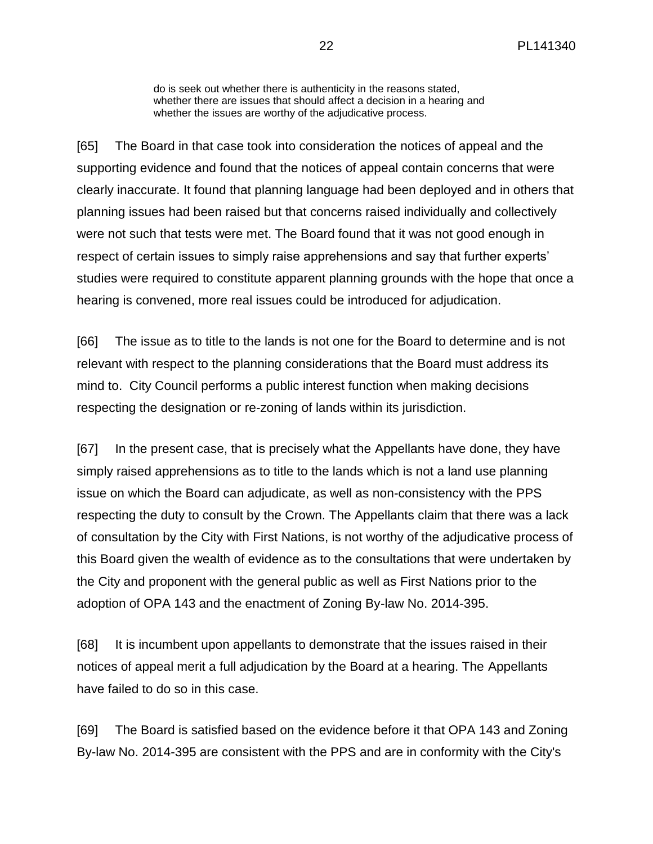do is seek out whether there is authenticity in the reasons stated, whether there are issues that should affect a decision in a hearing and whether the issues are worthy of the adjudicative process.

[65] The Board in that case took into consideration the notices of appeal and the supporting evidence and found that the notices of appeal contain concerns that were clearly inaccurate. It found that planning language had been deployed and in others that planning issues had been raised but that concerns raised individually and collectively were not such that tests were met. The Board found that it was not good enough in respect of certain issues to simply raise apprehensions and say that further experts' studies were required to constitute apparent planning grounds with the hope that once a hearing is convened, more real issues could be introduced for adjudication.

[66] The issue as to title to the lands is not one for the Board to determine and is not relevant with respect to the planning considerations that the Board must address its mind to. City Council performs a public interest function when making decisions respecting the designation or re-zoning of lands within its jurisdiction.

[67] In the present case, that is precisely what the Appellants have done, they have simply raised apprehensions as to title to the lands which is not a land use planning issue on which the Board can adjudicate, as well as non-consistency with the PPS respecting the duty to consult by the Crown. The Appellants claim that there was a lack of consultation by the City with First Nations, is not worthy of the adjudicative process of this Board given the wealth of evidence as to the consultations that were undertaken by the City and proponent with the general public as well as First Nations prior to the adoption of OPA 143 and the enactment of Zoning By-law No. 2014-395.

[68] It is incumbent upon appellants to demonstrate that the issues raised in their notices of appeal merit a full adjudication by the Board at a hearing. The Appellants have failed to do so in this case.

[69] The Board is satisfied based on the evidence before it that OPA 143 and Zoning By-law No. 2014-395 are consistent with the PPS and are in conformity with the City's